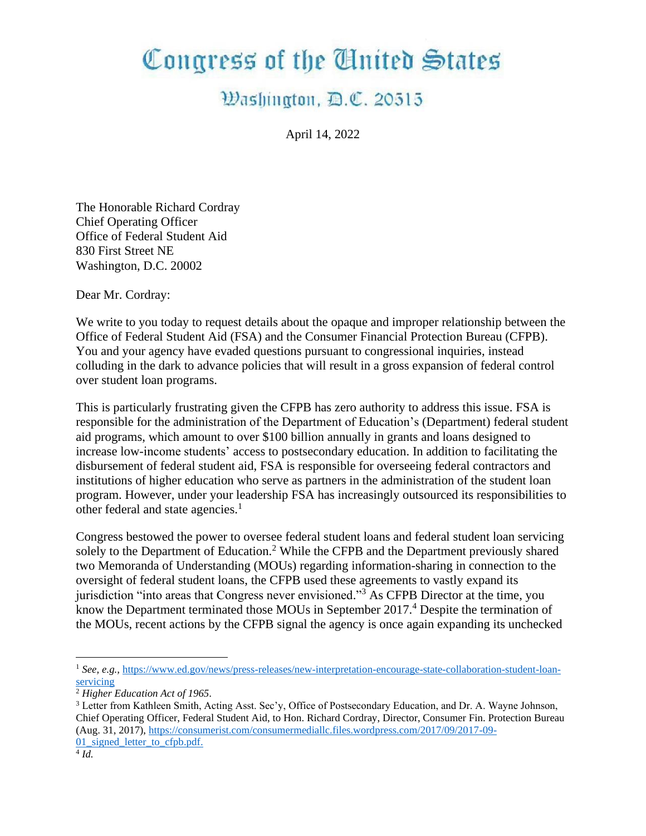## Congress of the United States

## Washington, D.C. 20515

April 14, 2022

The Honorable Richard Cordray Chief Operating Officer Office of Federal Student Aid 830 First Street NE Washington, D.C. 20002

Dear Mr. Cordray:

We write to you today to request details about the opaque and improper relationship between the Office of Federal Student Aid (FSA) and the Consumer Financial Protection Bureau (CFPB). You and your agency have evaded questions pursuant to congressional inquiries, instead colluding in the dark to advance policies that will result in a gross expansion of federal control over student loan programs.

This is particularly frustrating given the CFPB has zero authority to address this issue. FSA is responsible for the administration of the Department of Education's (Department) federal student aid programs, which amount to over \$100 billion annually in grants and loans designed to increase low-income students' access to postsecondary education. In addition to facilitating the disbursement of federal student aid, FSA is responsible for overseeing federal contractors and institutions of higher education who serve as partners in the administration of the student loan program. However, under your leadership FSA has increasingly outsourced its responsibilities to other federal and state agencies.<sup>1</sup>

Congress bestowed the power to oversee federal student loans and federal student loan servicing solely to the Department of Education.<sup>2</sup> While the CFPB and the Department previously shared two Memoranda of Understanding (MOUs) regarding information-sharing in connection to the oversight of federal student loans, the CFPB used these agreements to vastly expand its jurisdiction "into areas that Congress never envisioned."<sup>3</sup> As CFPB Director at the time, you know the Department terminated those MOUs in September 2017.<sup>4</sup> Despite the termination of the MOUs, recent actions by the CFPB signal the agency is once again expanding its unchecked

<sup>1</sup> *See, e.g.,* [https://www.ed.gov/news/press-releases/new-interpretation-encourage-state-collaboration-student-loan](https://www.ed.gov/news/press-releases/new-interpretation-encourage-state-collaboration-student-loan-servicing)[servicing](https://www.ed.gov/news/press-releases/new-interpretation-encourage-state-collaboration-student-loan-servicing)

<sup>2</sup> *Higher Education Act of 1965.*

<sup>3</sup> Letter from Kathleen Smith, Acting Asst. Sec'y, Office of Postsecondary Education, and Dr. A. Wayne Johnson, Chief Operating Officer, Federal Student Aid, to Hon. Richard Cordray, Director, Consumer Fin. Protection Bureau (Aug. 31, 2017), [https://consumerist.com/consumermediallc.files.wordpress.com/2017/09/2017-09-](https://consumerist.com/consumermediallc.files.wordpress.com/2017/09/2017-09-01_signed_letter_to_cfpb.pdf) 01 signed letter to cfpb.pdf.